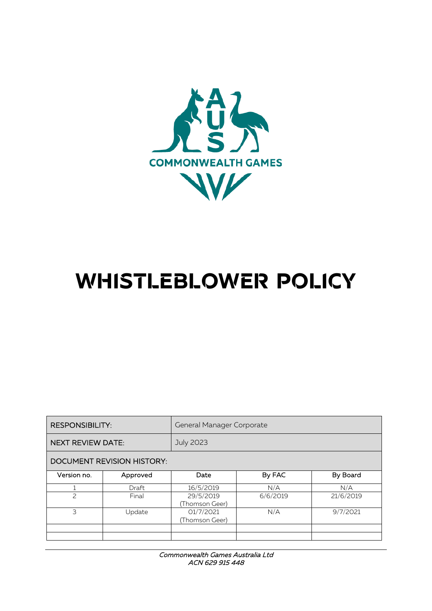

# **WHISTLEBLOWER POLICY**

| <b>RESPONSIBILITY:</b>            |          | General Manager Corporate   |          |           |  |  |  |
|-----------------------------------|----------|-----------------------------|----------|-----------|--|--|--|
| <b>NEXT REVIEW DATE:</b>          |          | <b>July 2023</b>            |          |           |  |  |  |
| <b>DOCUMENT REVISION HISTORY:</b> |          |                             |          |           |  |  |  |
| Version no.                       | Approved | Date                        | By FAC   | By Board  |  |  |  |
|                                   | Draft    | 16/5/2019                   | N/A      | N/A       |  |  |  |
| $\overline{\phantom{0}}$          | Final    | 29/5/2019<br>(Thomson Geer) | 6/6/2019 | 21/6/2019 |  |  |  |
| 3<br>Update                       |          | 01/7/2021<br>(Thomson Geer) | N/A      | 9/7/2021  |  |  |  |
|                                   |          |                             |          |           |  |  |  |
|                                   |          |                             |          |           |  |  |  |

Commonwealth Games Australia Ltd ACN 629 915 448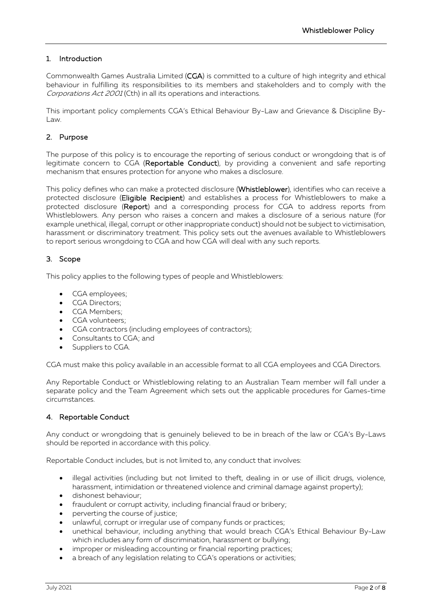# 1. Introduction

Commonwealth Games Australia Limited (CGA) is committed to a culture of high integrity and ethical behaviour in fulfilling its responsibilities to its members and stakeholders and to comply with the Corporations Act 2001 (Cth) in all its operations and interactions.

This important policy complements CGA's Ethical Behaviour By-Law and Grievance & Discipline By-Law.

## 2. Purpose

The purpose of this policy is to encourage the reporting of serious conduct or wrongdoing that is of legitimate concern to CGA (Reportable Conduct), by providing a convenient and safe reporting mechanism that ensures protection for anyone who makes a disclosure.

This policy defines who can make a protected disclosure (Whistleblower), identifies who can receive a protected disclosure (Eligible Recipient) and establishes a process for Whistleblowers to make a protected disclosure (Report) and a corresponding process for CGA to address reports from Whistleblowers. Any person who raises a concern and makes a disclosure of a serious nature (for example unethical, illegal, corrupt or other inappropriate conduct) should not be subject to victimisation, harassment or discriminatory treatment. This policy sets out the avenues available to Whistleblowers to report serious wrongdoing to CGA and how CGA will deal with any such reports.

# 3. Scope

This policy applies to the following types of people and Whistleblowers:

- CGA employees;
- CGA Directors;
- CGA Members;
- CGA volunteers;
- CGA contractors (including employees of contractors);
- Consultants to CGA; and
- Suppliers to CGA.

CGA must make this policy available in an accessible format to all CGA employees and CGA Directors.

Any Reportable Conduct or Whistleblowing relating to an Australian Team member will fall under a separate policy and the Team Agreement which sets out the applicable procedures for Games-time circumstances.

#### 4. Reportable Conduct

Any conduct or wrongdoing that is genuinely believed to be in breach of the law or CGA's By-Laws should be reported in accordance with this policy.

Reportable Conduct includes, but is not limited to, any conduct that involves:

- illegal activities (including but not limited to theft, dealing in or use of illicit drugs, violence, harassment, intimidation or threatened violence and criminal damage against property);
- dishonest behaviour;
- fraudulent or corrupt activity, including financial fraud or bribery;
- perverting the course of justice;
- unlawful, corrupt or irregular use of company funds or practices;
- unethical behaviour, including anything that would breach CGA's Ethical Behaviour By-Law which includes any form of discrimination, harassment or bullying;
- improper or misleading accounting or financial reporting practices;
- a breach of any legislation relating to CGA's operations or activities;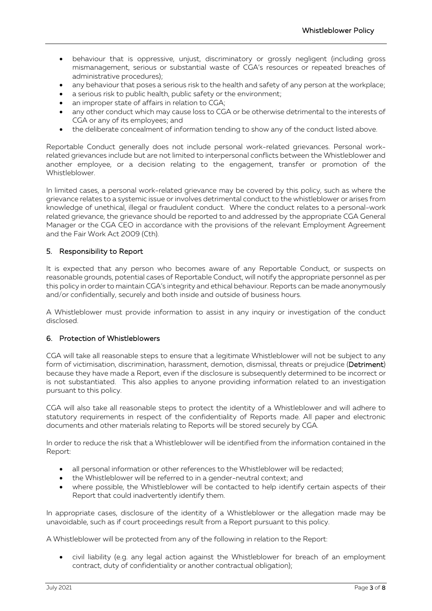- behaviour that is oppressive, unjust, discriminatory or grossly negligent (including gross mismanagement, serious or substantial waste of CGA's resources or repeated breaches of administrative procedures);
- any behaviour that poses a serious risk to the health and safety of any person at the workplace;
- a serious risk to public health, public safety or the environment;
- an improper state of affairs in relation to CGA;
- any other conduct which may cause loss to CGA or be otherwise detrimental to the interests of CGA or any of its employees; and
- the deliberate concealment of information tending to show any of the conduct listed above.

Reportable Conduct generally does not include personal work-related grievances. Personal workrelated grievances include but are not limited to interpersonal conflicts between the Whistleblower and another employee, or a decision relating to the engagement, transfer or promotion of the Whistleblower.

In limited cases, a personal work-related grievance may be covered by this policy, such as where the grievance relates to a systemic issue or involves detrimental conduct to the whistleblower or arises from knowledge of unethical, illegal or fraudulent conduct. Where the conduct relates to a personal-work related grievance, the grievance should be reported to and addressed by the appropriate CGA General Manager or the CGA CEO in accordance with the provisions of the relevant Employment Agreement and the Fair Work Act 2009 (Cth).

## 5. Responsibility to Report

It is expected that any person who becomes aware of any Reportable Conduct, or suspects on reasonable grounds, potential cases of Reportable Conduct, will notify the appropriate personnel as per this policy in order to maintain CGA's integrity and ethical behaviour. Reports can be made anonymously and/or confidentially, securely and both inside and outside of business hours.

A Whistleblower must provide information to assist in any inquiry or investigation of the conduct disclosed.

#### 6. Protection of Whistleblowers

CGA will take all reasonable steps to ensure that a legitimate Whistleblower will not be subject to any form of victimisation, discrimination, harassment, demotion, dismissal, threats or prejudice (Detriment) because they have made a Report, even if the disclosure is subsequently determined to be incorrect or is not substantiated. This also applies to anyone providing information related to an investigation pursuant to this policy.

CGA will also take all reasonable steps to protect the identity of a Whistleblower and will adhere to statutory requirements in respect of the confidentiality of Reports made. All paper and electronic documents and other materials relating to Reports will be stored securely by CGA.

In order to reduce the risk that a Whistleblower will be identified from the information contained in the Report:

- all personal information or other references to the Whistleblower will be redacted;
- the Whistleblower will be referred to in a gender-neutral context; and
- where possible, the Whistleblower will be contacted to help identify certain aspects of their Report that could inadvertently identify them.

In appropriate cases, disclosure of the identity of a Whistleblower or the allegation made may be unavoidable, such as if court proceedings result from a Report pursuant to this policy.

A Whistleblower will be protected from any of the following in relation to the Report:

• civil liability (e.g. any legal action against the Whistleblower for breach of an employment contract, duty of confidentiality or another contractual obligation);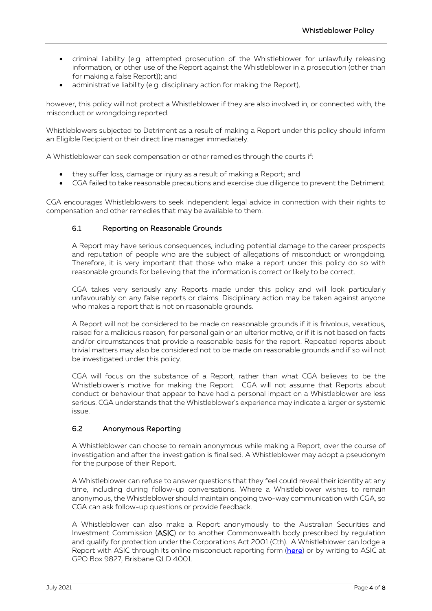- criminal liability (e.g. attempted prosecution of the Whistleblower for unlawfully releasing information, or other use of the Report against the Whistleblower in a prosecution (other than for making a false Report)); and
- administrative liability (e.g. disciplinary action for making the Report),

however, this policy will not protect a Whistleblower if they are also involved in, or connected with, the misconduct or wrongdoing reported.

Whistleblowers subjected to Detriment as a result of making a Report under this policy should inform an Eligible Recipient or their direct line manager immediately.

A Whistleblower can seek compensation or other remedies through the courts if:

- they suffer loss, damage or injury as a result of making a Report; and
- CGA failed to take reasonable precautions and exercise due diligence to prevent the Detriment.

CGA encourages Whistleblowers to seek independent legal advice in connection with their rights to compensation and other remedies that may be available to them.

## 6.1 Reporting on Reasonable Grounds

A Report may have serious consequences, including potential damage to the career prospects and reputation of people who are the subject of allegations of misconduct or wrongdoing. Therefore, it is very important that those who make a report under this policy do so with reasonable grounds for believing that the information is correct or likely to be correct.

CGA takes very seriously any Reports made under this policy and will look particularly unfavourably on any false reports or claims. Disciplinary action may be taken against anyone who makes a report that is not on reasonable grounds.

A Report will not be considered to be made on reasonable grounds if it is frivolous, vexatious, raised for a malicious reason, for personal gain or an ulterior motive, or if it is not based on facts and/or circumstances that provide a reasonable basis for the report. Repeated reports about trivial matters may also be considered not to be made on reasonable grounds and if so will not be investigated under this policy.

CGA will focus on the substance of a Report, rather than what CGA believes to be the Whistleblower's motive for making the Report. CGA will not assume that Reports about conduct or behaviour that appear to have had a personal impact on a Whistleblower are less serious. CGA understands that the Whistleblower's experience may indicate a larger or systemic issue.

## 6.2 Anonymous Reporting

A Whistleblower can choose to remain anonymous while making a Report, over the course of investigation and after the investigation is finalised. A Whistleblower may adopt a pseudonym for the purpose of their Report.

A Whistleblower can refuse to answer questions that they feel could reveal their identity at any time, including during follow-up conversations. Where a Whistleblower wishes to remain anonymous, the Whistleblower should maintain ongoing two-way communication with CGA, so CGA can ask follow-up questions or provide feedback.

A Whistleblower can also make a Report anonymously to the Australian Securities and Investment Commission (ASIC) or to another Commonwealth body prescribed by regulation and qualify for protection under the Corporations Act 2001 (Cth). A Whistleblower can lodge a Report with ASIC through its online misconduct reporting form [\(here\)](https://asic.gov.au/about-asic/contact-us/how-to-complain/report-misconduct-to-asic/) or by writing to ASIC at GPO Box 9827, Brisbane QLD 4001.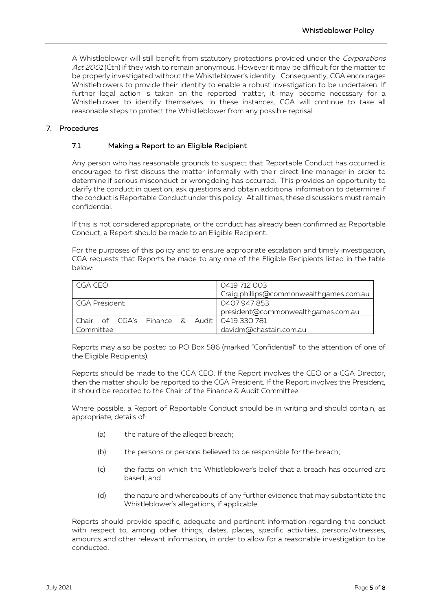A Whistleblower will still benefit from statutory protections provided under the Corporations Act 2001 (Cth) if they wish to remain anonymous. However it may be difficult for the matter to be properly investigated without the Whistleblower's identity. Consequently, CGA encourages Whistleblowers to provide their identity to enable a robust investigation to be undertaken. If further legal action is taken on the reported matter, it may become necessary for a Whistleblower to identify themselves. In these instances, CGA will continue to take all reasonable steps to protect the Whistleblower from any possible reprisal.

## 7. Procedures

## 7.1 Making a Report to an Eligible Recipient

Any person who has reasonable grounds to suspect that Reportable Conduct has occurred is encouraged to first discuss the matter informally with their direct line manager in order to determine if serious misconduct or wrongdoing has occurred. This provides an opportunity to clarify the conduct in question, ask questions and obtain additional information to determine if the conduct is Reportable Conduct under this policy. At all times, these discussions must remain confidential.

If this is not considered appropriate, or the conduct has already been confirmed as Reportable Conduct, a Report should be made to an Eligible Recipient.

For the purposes of this policy and to ensure appropriate escalation and timely investigation, CGA requests that Reports be made to any one of the Eligible Recipients listed in the table below:

| CGA CEO         |  |  |  |  | 0419 712 003                                        |  |
|-----------------|--|--|--|--|-----------------------------------------------------|--|
|                 |  |  |  |  | Craig.phillips@commonwealthgames.com.au             |  |
| l CGA President |  |  |  |  | 0407947853                                          |  |
|                 |  |  |  |  | president@commonwealthgames.com.au                  |  |
|                 |  |  |  |  | l Chair of  CGA's  Finance  &  Audit I 0419 330 781 |  |
| Committee       |  |  |  |  | davidm@chastain.com.au                              |  |

Reports may also be posted to PO Box 586 (marked "Confidential" to the attention of one of the Eligible Recipients).

Reports should be made to the CGA CEO. If the Report involves the CEO or a CGA Director, then the matter should be reported to the CGA President. If the Report involves the President, it should be reported to the Chair of the Finance & Audit Committee.

Where possible, a Report of Reportable Conduct should be in writing and should contain, as appropriate, details of:

- (a) the nature of the alleged breach;
- (b) the persons or persons believed to be responsible for the breach;
- (c) the facts on which the Whistleblower's belief that a breach has occurred are based; and
- (d) the nature and whereabouts of any further evidence that may substantiate the Whistleblower's allegations, if applicable.

Reports should provide specific, adequate and pertinent information regarding the conduct with respect to, among other things, dates, places, specific activities, persons/witnesses, amounts and other relevant information, in order to allow for a reasonable investigation to be conducted.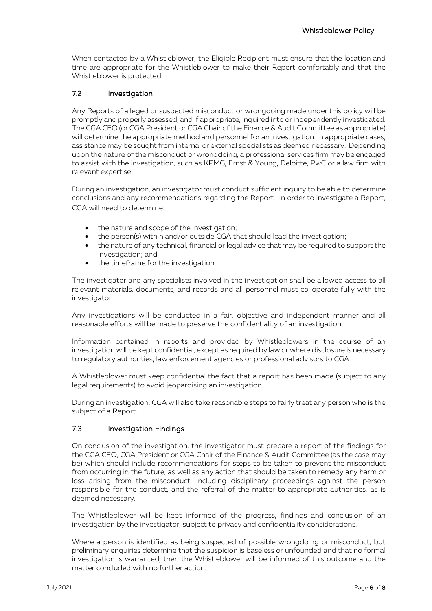When contacted by a Whistleblower, the Eligible Recipient must ensure that the location and time are appropriate for the Whistleblower to make their Report comfortably and that the Whistleblower is protected.

# 7.2 Investigation

Any Reports of alleged or suspected misconduct or wrongdoing made under this policy will be promptly and properly assessed, and if appropriate, inquired into or independently investigated. The CGA CEO (or CGA President or CGA Chair of the Finance & Audit Committee as appropriate) will determine the appropriate method and personnel for an investigation. In appropriate cases, assistance may be sought from internal or external specialists as deemed necessary. Depending upon the nature of the misconduct or wrongdoing, a professional services firm may be engaged to assist with the investigation, such as KPMG, Ernst & Young, Deloitte, PwC or a law firm with relevant expertise.

During an investigation, an investigator must conduct sufficient inquiry to be able to determine conclusions and any recommendations regarding the Report. In order to investigate a Report, CGA will need to determine:

- the nature and scope of the investigation;
- the person(s) within and/or outside CGA that should lead the investigation;
- the nature of any technical, financial or legal advice that may be required to support the investigation; and
- the timeframe for the investigation.

The investigator and any specialists involved in the investigation shall be allowed access to all relevant materials, documents, and records and all personnel must co-operate fully with the investigator.

Any investigations will be conducted in a fair, objective and independent manner and all reasonable efforts will be made to preserve the confidentiality of an investigation.

Information contained in reports and provided by Whistleblowers in the course of an investigation will be kept confidential, except as required by law or where disclosure is necessary to regulatory authorities, law enforcement agencies or professional advisors to CGA.

A Whistleblower must keep confidential the fact that a report has been made (subject to any legal requirements) to avoid jeopardising an investigation.

During an investigation, CGA will also take reasonable steps to fairly treat any person who is the subject of a Report.

## 7.3 Investigation Findings

On conclusion of the investigation, the investigator must prepare a report of the findings for the CGA CEO, CGA President or CGA Chair of the Finance & Audit Committee (as the case may be) which should include recommendations for steps to be taken to prevent the misconduct from occurring in the future, as well as any action that should be taken to remedy any harm or loss arising from the misconduct, including disciplinary proceedings against the person responsible for the conduct, and the referral of the matter to appropriate authorities, as is deemed necessary.

The Whistleblower will be kept informed of the progress, findings and conclusion of an investigation by the investigator, subject to privacy and confidentiality considerations.

Where a person is identified as being suspected of possible wrongdoing or misconduct, but preliminary enquiries determine that the suspicion is baseless or unfounded and that no formal investigation is warranted, then the Whistleblower will be informed of this outcome and the matter concluded with no further action.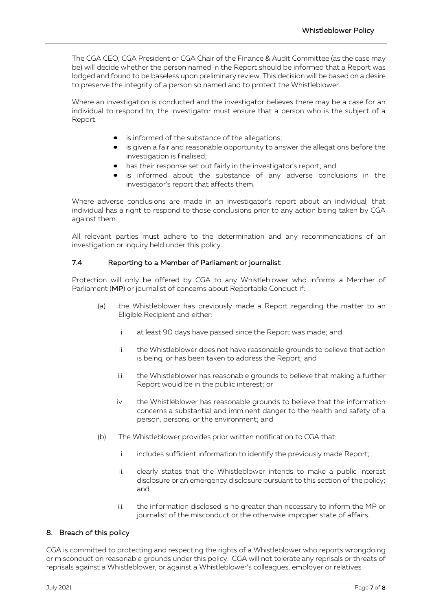The CGA CEO, CGA President or CGA Chair of the Finance & Audit Committee (as the case may be) will decide whether the person named in the Report should be informed that a Report was lodged and found to be baseless upon preliminary review. This decision will be based on a desire to preserve the integrity of a person so named and to protect the Whistleblower.

Where an investigation is conducted and the investigator believes there may be a case for an individual to respond to, the investigator must ensure that a person who is the subject of a Report:

- is informed of the substance of the allegations;
- is given a fair and reasonable opportunity to answer the allegations before the investigation is finalised;
- has their response set out fairly in the investigator's report; and
- is informed about the substance of any adverse conclusions in the investigator's report that affects them.

Where adverse conclusions are made in an investigator's report about an individual, that individual has a right to respond to those conclusions prior to any action being taken by CGA against them.

All relevant parties must adhere to the determination and any recommendations of an investigation or inquiry held under this policy.

## 7.4 Reporting to a Member of Parliament or journalist

Protection will only be offered by CGA to any Whistleblower who informs a Member of Parliament (MP) or journalist of concerns about Reportable Conduct if:

- (a) the Whistleblower has previously made a Report regarding the matter to an Eligible Recipient and either:
	- i. at least 90 days have passed since the Report was made; and
	- ii. the Whistleblower does not have reasonable grounds to believe that action is being, or has been taken to address the Report; and
	- iii. the Whistleblower has reasonable grounds to believe that making a further Report would be in the public interest; or
	- iv. the Whistleblower has reasonable grounds to believe that the information concerns a substantial and imminent danger to the health and safety of a person, persons, or the environment; and
- (b) The Whistleblower provides prior written notification to CGA that:
	- i. includes sufficient information to identify the previously made Report;
	- ii. clearly states that the Whistleblower intends to make a public interest disclosure or an emergency disclosure pursuant to this section of the policy; and
	- iii. the information disclosed is no greater than necessary to inform the MP or journalist of the misconduct or the otherwise improper state of affairs.

## 8. Breach of this policy

CGA is committed to protecting and respecting the rights of a Whistleblower who reports wrongdoing or misconduct on reasonable grounds under this policy. CGA will not tolerate any reprisals or threats of reprisals against a Whistleblower, or against a Whistleblower's colleagues, employer or relatives.